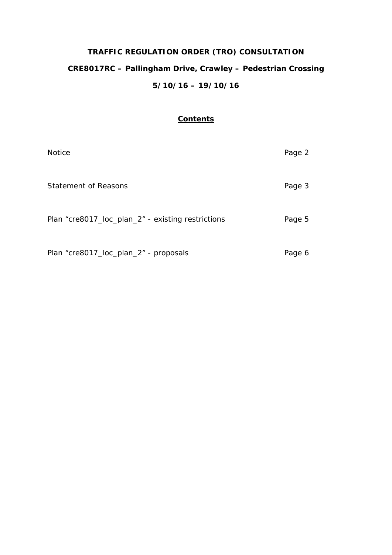# **TRAFFIC REGULATION ORDER (TRO) CONSULTATION CRE8017RC – Pallingham Drive, Crawley – Pedestrian Crossing 5/10/16 – 19/10/16**

# **Contents**

| <b>Notice</b>                                     | Page 2 |
|---------------------------------------------------|--------|
| Statement of Reasons                              | Page 3 |
| Plan "cre8017_loc_plan_2" - existing restrictions | Page 5 |
| Plan "cre8017_loc_plan_2" - proposals             | Page 6 |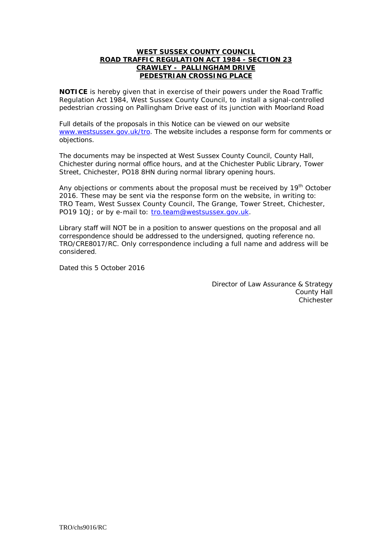#### **WEST SUSSEX COUNTY COUNCIL ROAD TRAFFIC REGULATION ACT 1984 - SECTION 23 CRAWLEY - PALLINGHAM DRIVE PEDESTRIAN CROSSING PLACE**

**NOTICE** is hereby given that in exercise of their powers under the Road Traffic Regulation Act 1984, West Sussex County Council, to install a signal-controlled pedestrian crossing on Pallingham Drive east of its junction with Moorland Road

Full details of the proposals in this Notice can be viewed on our website [www.westsussex.gov.uk/tro.](http://www.westsussex.gov.uk/tro) The website includes a response form for comments or objections.

The documents may be inspected at West Sussex County Council, County Hall, Chichester during normal office hours, and at the Chichester Public Library, Tower Street, Chichester, PO18 8HN during normal library opening hours.

Any objections or comments about the proposal must be received by 19<sup>th</sup> October 2016. These may be sent via the response form on the website, in writing to: TRO Team, West Sussex County Council, The Grange, Tower Street, Chichester, PO19 1QJ; or by e-mail to: [tro.team@westsussex.gov.uk.](mailto:tro.team@westsussex.gov.uk)

Library staff will NOT be in a position to answer questions on the proposal and all correspondence should be addressed to the undersigned, quoting reference no. TRO/CRE8017/RC. Only correspondence including a full name and address will be considered.

Dated this 5 October 2016

Director of Law Assurance & Strategy County Hall **Chichester**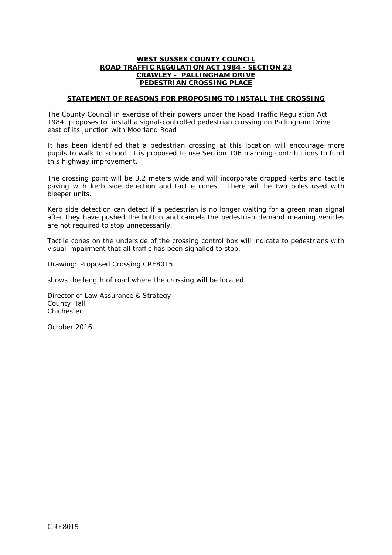## **WEST SUSSEX COUNTY COUNCIL ROAD TRAFFIC REGULATION ACT 1984 - SECTION 23 CRAWLEY - PALLINGHAM DRIVE PEDESTRIAN CROSSING PLACE**

## **STATEMENT OF REASONS FOR PROPOSING TO INSTALL THE CROSSING**

The County Council in exercise of their powers under the Road Traffic Regulation Act 1984, proposes to install a signal-controlled pedestrian crossing on Pallingham Drive east of its junction with Moorland Road

It has been identified that a pedestrian crossing at this location will encourage more pupils to walk to school. It is proposed to use Section 106 planning contributions to fund this highway improvement.

The crossing point will be 3.2 meters wide and will incorporate dropped kerbs and tactile paving with kerb side detection and tactile cones. There will be two poles used with bleeper units.

Kerb side detection can detect if a pedestrian is no longer waiting for a green man signal after they have pushed the button and cancels the pedestrian demand meaning vehicles are not required to stop unnecessarily.

Tactile cones on the underside of the crossing control box will indicate to pedestrians with visual impairment that all traffic has been signalled to stop.

Drawing: Proposed Crossing CRE8015

shows the length of road where the crossing will be located.

Director of Law Assurance & Strategy County Hall Chichester

October 2016